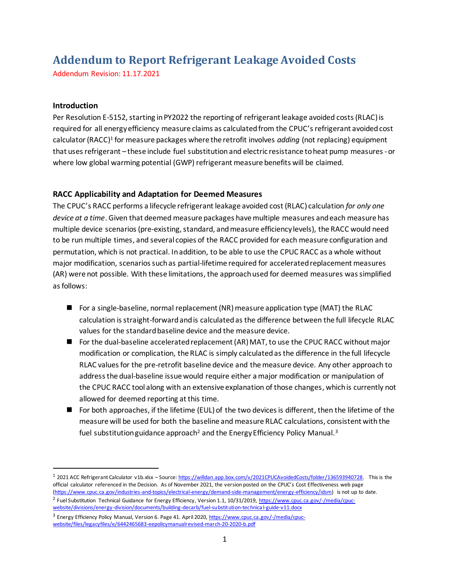# **Addendum to Report Refrigerant Leakage Avoided Costs**

Addendum Revision: 11.17.2021

#### **Introduction**

Per Resolution E-5152, starting in PY2022 the reporting of refrigerant leakage avoided costs (RLAC) is required for all energy efficiency measure claims as calculated from the CPUC's refrigerant avoided cost calculator (RACC)<sup>1</sup> for measure packages where the retrofit involves *adding* (not replacing) equipment that usesrefrigerant – these include fuel substitution and electric resistance to heat pump measures -or where low global warming potential (GWP) refrigerant measure benefits will be claimed.

## **RACC Applicability and Adaptation for Deemed Measures**

The CPUC's RACC performs a lifecycle refrigerant leakage avoided cost (RLAC) calculation *for only one device at a time*. Given that deemed measure packages have multiple measures and each measure has multiple device scenarios (pre-existing, standard, and measure efficiency levels), the RACC would need to be run multiple times, and several copies of the RACC provided for each measure configuration and permutation, which is not practical. In addition, to be able to use the CPUC RACC as a whole without major modification, scenarios such as partial-lifetime required for accelerated replacement measures (AR) were not possible. With these limitations, the approach used for deemed measures was simplified as follows:

- For a single-baseline, normal replacement (NR) measure application type (MAT) the RLAC calculation is straight-forward and is calculated as the difference between the full lifecycle RLAC values for the standard baseline device and the measure device.
- For the dual-baseline accelerated replacement (AR) MAT, to use the CPUC RACC without major modification or complication, the RLAC is simply calculated as the difference in the full lifecycle RLAC values for the pre-retrofit baseline device and the measure device. Any other approach to address the dual-baseline issue would require either a major modification or manipulation of the CPUC RACC tool along with an extensive explanation of those changes, which is currently not allowed for deemed reporting at this time.
- For both approaches, if the lifetime (EUL) of the two devices is different, then the lifetime of the measure will be used for both the baseline and measure RLAC calculations, consistent with the fuel substitution guidance approach<sup>2</sup> and the Energy Efficiency Policy Manual.<sup>3</sup>

<sup>&</sup>lt;sup>1</sup> 2021 ACC Refrigerant Calculator v1b.xlsx – Source[: https://willdan.app.box.com/v/2021CPUCAvoidedCosts/folder/136593940728.](https://willdan.app.box.com/v/2021CPUCAvoidedCosts/folder/136593940728) This is the official calculator referenced in the Decision. As of November 2021, the version posted on the CPUC's Cost Effectiveness web page [\(https://www.cpuc.ca.gov/industries-and-topics/electrical-energy/demand-side-management/energy-efficiency/idsm\)](https://www.cpuc.ca.gov/industries-and-topics/electrical-energy/demand-side-management/energy-efficiency/idsm) is not up to date.

<sup>&</sup>lt;sup>2</sup> Fuel Substitution Technical Guidance for Energy Efficiency, Version 1.1, 10/31/2019[, https://www.cpuc.ca.gov/-/media/cpuc](https://www.cpuc.ca.gov/-/media/cpuc-website/divisions/energy-division/documents/building-decarb/fuel-substitution-technical-guide-v11.docx)[website/divisions/energy-division/documents/building-decarb/fuel-substitution-technica l-guide-v11.docx](https://www.cpuc.ca.gov/-/media/cpuc-website/divisions/energy-division/documents/building-decarb/fuel-substitution-technical-guide-v11.docx)

<sup>&</sup>lt;sup>3</sup> Energy Efficiency Policy Manual, Version 6. Page 41. April 2020[, https://www.cpuc.ca.gov/-/media/cpuc](https://www.cpuc.ca.gov/-/media/cpuc-website/files/legacyfiles/e/6442465683-eepolicymanualrevised-march-20-2020-b.pdf)[website/files/legacyfiles/e/6442465683-eepolicymanualrevised-march-20-2020-b.pdf](https://www.cpuc.ca.gov/-/media/cpuc-website/files/legacyfiles/e/6442465683-eepolicymanualrevised-march-20-2020-b.pdf)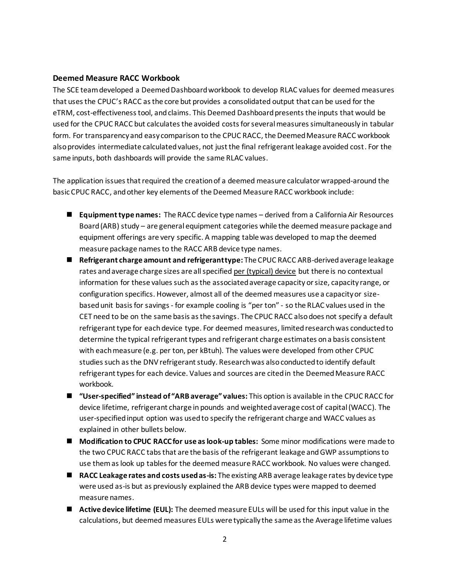#### **Deemed Measure RACC Workbook**

The SCE team developed a Deemed Dashboard workbook to develop RLAC values for deemed measures that uses the CPUC's RACC as the core but provides a consolidated output that can be used for the eTRM, cost-effectiveness tool, and claims. This Deemed Dashboard presents the inputs that would be used for the CPUC RACC but calculates the avoided costs for several measures simultaneously in tabular form. For transparency and easy comparison to the CPUC RACC, the Deemed Measure RACC workbook also provides intermediate calculated values, not just the final refrigerant leakage avoided cost. For the same inputs, both dashboards will provide the same RLAC values.

The application issues that required the creation of a deemed measure calculator wrapped-around the basic CPUC RACC, and other key elements of the Deemed Measure RACC workbook include:

- **Equipment type names:** The RACC device type names derived from a California Air Resources Board(ARB) study – are general equipment categories while the deemed measure package and equipment offerings are very specific. A mapping table was developed to map the deemed measure package names to the RACC ARB device type names.
- **Refrigerant charge amount and refrigerant type:** The CPUC RACC ARB-derived average leakage rates and average charge sizes are allspecified per (typical) device but there is no contextual information for these values such as the associated average capacity or size, capacity range, or configuration specifics. However, almost all of the deemed measures use a capacity or sizebased unit basisfor savings - for example cooling is "per ton" - so the RLAC values used in the CET need to be on the same basis as the savings. The CPUC RACC also does not specify a default refrigerant type for each device type. For deemed measures, limited research was conducted to determine the typical refrigerant types and refrigerant charge estimates on a basis consistent with each measure (e.g. per ton, per kBtuh). The values were developed from other CPUC studies such as the DNV refrigerant study. Research was also conducted to identify default refrigerant types for each device. Values and sources are cited in the Deemed Measure RACC workbook.
- "User-specified" instead of "ARB average" values: This option is available in the CPUC RACC for device lifetime, refrigerant charge in pounds and weighted average cost of capital (WACC). The user-specified input option was used to specify the refrigerant charge and WACC values as explained in other bullets below.
- **Modification to CPUC RACC for use as look-up tables:** Some minor modifications were made to the two CPUC RACC tabs that are the basis of the refrigerant leakage and GWP assumptions to use them as look up tables for the deemed measure RACC workbook. No values were changed.
- **RACC Leakage rates and costs used as-is:** The existing ARB average leakage rates by device type were used as-is but as previously explained the ARB device types were mapped to deemed measure names.
- Active device lifetime (EUL): The deemed measure EULs will be used for this input value in the calculations, but deemed measures EULs were typically the same as the Average lifetime values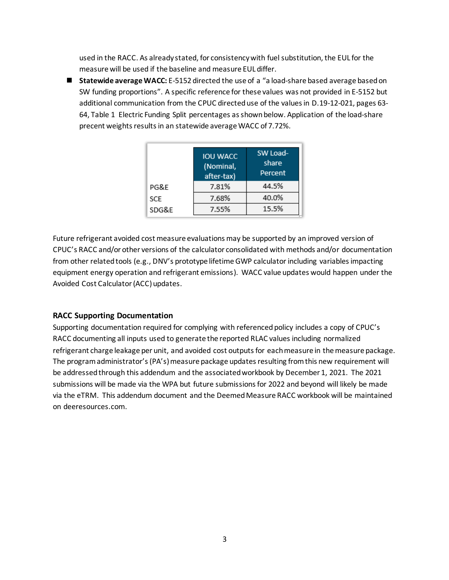used in the RACC. As already stated, for consistency with fuel substitution, the EUL for the measure will be used if the baseline and measure EUL differ.

■ Statewide average WACC: E-5152 directed the use of a "a load-share based average based on SW funding proportions". A specific reference for these values was not provided in E-5152 but additional communication from the CPUC directed use of the values in D.19-12-021, pages 63- 64, Table 1 Electric Funding Split percentages as shown below. Application of the load-share precent weights results in an statewide average WACC of 7.72%.

|       | <b>IOU WACC</b><br>(Nominal,<br>after-tax) | SW Load-<br>share<br>Percent |
|-------|--------------------------------------------|------------------------------|
| PG&E  | 7.81%                                      | 44.5%                        |
| SCE   | 7.68%                                      | 40.0%                        |
| SDG&E | 7.55%                                      | 15.5%                        |

Future refrigerant avoided cost measure evaluations may be supported by an improved version of CPUC's RACC and/or other versions of the calculator consolidated with methods and/or documentation from other related tools (e.g., DNV's prototype lifetime GWP calculator including variables impacting equipment energy operation and refrigerant emissions). WACC value updates would happen under the Avoided Cost Calculator (ACC) updates.

## **RACC Supporting Documentation**

Supporting documentation required for complying with referenced policy includes a copy of CPUC's RACC documenting all inputs used to generate the reported RLAC values including normalized refrigerant charge leakage per unit, and avoided cost outputs for each measure in the measure package. The program administrator's (PA's) measure package updates resulting from this new requirement will be addressed through this addendum and the associated workbook by December 1, 2021. The 2021 submissions will be made via the WPA but future submissions for 2022 and beyond will likely be made via the eTRM. This addendum document and the Deemed Measure RACC workbook will be maintained on deeresources.com.